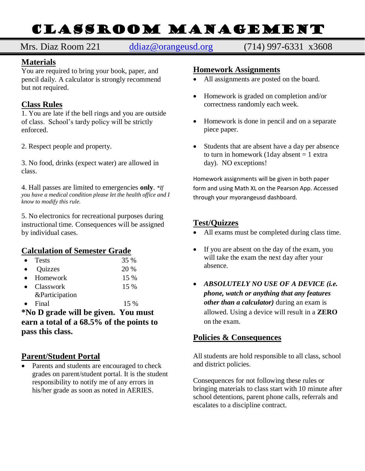# ClASSROOM mANAGEMENT

# Mrs. Diaz Room 221 [ddiaz@orangeusd.org](mailto:ddiaz@orangeusd.org) (714) 997-6331 x3608

# **Materials**

You are required to bring your book, paper, and pencil daily. A calculator is strongly recommend but not required.

#### **Class Rules**

1. You are late if the bell rings and you are outside of class. School's tardy policy will be strictly enforced.

2. Respect people and property.

3. No food, drinks (expect water) are allowed in class.

4. Hall passes are limited to emergencies **only**. *\*If you have a medical condition please let the health office and I know to modify this rule.*

5. No electronics for recreational purposes during instructional time. Consequences will be assigned by individual cases.

## **Calculation of Semester Grade**

| <b>Tests</b>   | 35 %   |
|----------------|--------|
| Quizzes        | 20 %   |
| Homework       | 15 %   |
| Classwork      | $15\%$ |
| &Participation |        |
| Final          | 15 %   |

**\*No D grade will be given. You must earn a total of a 68.5% of the points to pass this class.** 

## **Parent/Student Portal**

• Parents and students are encouraged to check grades on parent/student portal. It is the student responsibility to notify me of any errors in his/her grade as soon as noted in AERIES.

#### **Homework Assignments**

- All assignments are posted on the board.
- Homework is graded on completion and/or correctness randomly each week.
- Homework is done in pencil and on a separate piece paper.
- Students that are absent have a day per absence to turn in homework (1day absent  $= 1$  extra day). NO exceptions!

Homework assignments will be given in both paper form and using Math XL on the Pearson App. Accessed through your myorangeusd dashboard.

## **Test/Quizzes**

- All exams must be completed during class time.
- If you are absent on the day of the exam, you will take the exam the next day after your absence.
- *ABSOLUTELY NO USE OF A DEVICE (i.e. phone, watch or anything that any features other than a calculator)* during an exam is allowed. Using a device will result in a **ZERO** on the exam.

## **Policies & Consequences**

All students are hold responsible to all class, school and district policies.

Consequences for not following these rules or bringing materials to class start with 10 minute after school detentions, parent phone calls, referrals and escalates to a discipline contract.